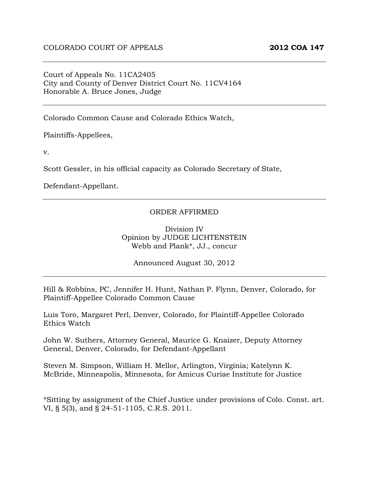#### Court of Appeals No. 11CA2405 City and County of Denver District Court No. 11CV4164 Honorable A. Bruce Jones, Judge

Colorado Common Cause and Colorado Ethics Watch,

Plaintiffs-Appellees,

v.

Scott Gessler, in his official capacity as Colorado Secretary of State,

Defendant-Appellant.

#### ORDER AFFIRMED

Division IV Opinion by JUDGE LICHTENSTEIN Webb and Plank\*, JJ., concur

Announced August 30, 2012

Hill & Robbins, PC, Jennifer H. Hunt, Nathan P. Flynn, Denver, Colorado, for Plaintiff-Appellee Colorado Common Cause

Luis Toro, Margaret Perl, Denver, Colorado, for Plaintiff-Appellee Colorado Ethics Watch

John W. Suthers, Attorney General, Maurice G. Knaizer, Deputy Attorney General, Denver, Colorado, for Defendant-Appellant

Steven M. Simpson, William H. Mellor, Arlington, Virginia; Katelynn K. McBride, Minneapolis, Minnesota, for Amicus Curiae Institute for Justice

\*Sitting by assignment of the Chief Justice under provisions of Colo. Const. art. VI, § 5(3), and § 24-51-1105, C.R.S. 2011.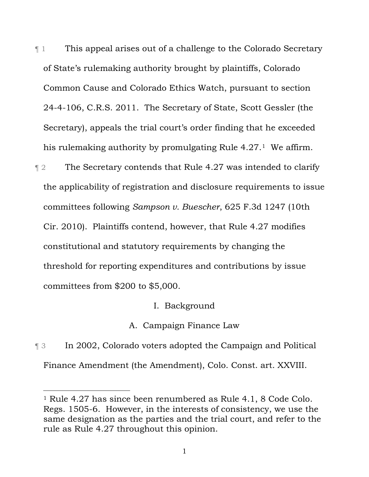¶ 1 This appeal arises out of a challenge to the Colorado Secretary of State's rulemaking authority brought by plaintiffs, Colorado Common Cause and Colorado Ethics Watch, pursuant to section 244106, C.R.S. 2011. The Secretary of State, Scott Gessler (the Secretary), appeals the trial court's order finding that he exceeded his rulemaking authority by promulgating Rule 4.27.1 We affirm.

**The Secretary contends that Rule 4.27 was intended to clarify** the applicability of registration and disclosure requirements to issue committees following *Sampson v. Buescher*, 625 F.3d 1247 (10th Cir. 2010). Plaintiffs contend, however, that Rule 4.27 modifies constitutional and statutory requirements by changing the threshold for reporting expenditures and contributions by issue committees from \$200 to \$5,000.

I. Background

A. Campaign Finance Law

¶ 3 In 2002, Colorado voters adopted the Campaign and Political Finance Amendment (the Amendment), Colo. Const. art. XXVIII.

 $\overline{a}$ 

<sup>1</sup> Rule 4.27 has since been renumbered as Rule 4.1, 8 Code Colo. Regs. 1505-6. However, in the interests of consistency, we use the same designation as the parties and the trial court, and refer to the rule as Rule 4.27 throughout this opinion.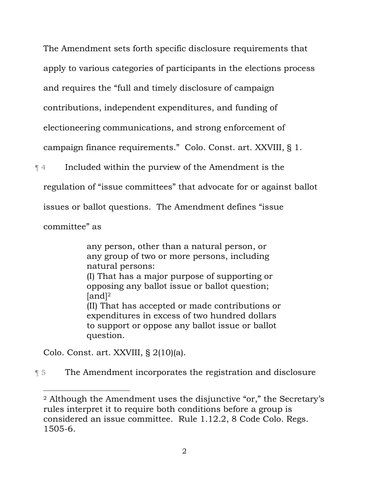The Amendment sets forth specific disclosure requirements that apply to various categories of participants in the elections process and requires the "full and timely disclosure of campaign contributions, independent expenditures, and funding of electioneering communications, and strong enforcement of campaign finance requirements." Colo. Const. art. XXVIII, § 1.

¶ 4 Included within the purview of the Amendment is the

regulation of "issue committees" that advocate for or against ballot

issues or ballot questions. The Amendment defines "issue

committee" as

 $\overline{a}$ 

any person, other than a natural person, or any group of two or more persons, including natural persons: (I) That has a major purpose of supporting or opposing any ballot issue or ballot question;  $[and]$ <sup>2</sup> (II) That has accepted or made contributions or expenditures in excess of two hundred dollars to support or oppose any ballot issue or ballot question.

Colo. Const. art. XXVIII, § 2(10)(a).

¶ 5 The Amendment incorporates the registration and disclosure

<sup>2</sup> Although the Amendment uses the disjunctive "or," the Secretary's rules interpret it to require both conditions before a group is considered an issue committee. Rule 1.12.2, 8 Code Colo. Regs. 1505-6.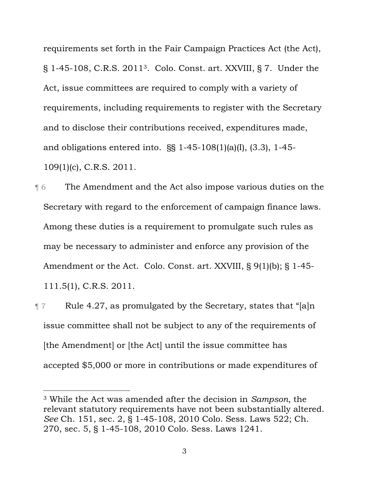requirements set forth in the Fair Campaign Practices Act (the Act), § 1-45-108, C.R.S. 2011<sup>3</sup>. Colo. Const. art. XXVIII, § 7. Under the Act, issue committees are required to comply with a variety of requirements, including requirements to register with the Secretary and to disclose their contributions received, expenditures made, and obligations entered into.  $\S$ § 1-45-108(1)(a)(I), (3.3), 1-45-109(1)(c), C.R.S. 2011.

¶ 6 The Amendment and the Act also impose various duties on the Secretary with regard to the enforcement of campaign finance laws. Among these duties is a requirement to promulgate such rules as may be necessary to administer and enforce any provision of the Amendment or the Act. Colo. Const. art. XXVIII, § 9(1)(b); § 1-45-111.5(1), C.R.S. 2011.

 $\P$  7 Rule 4.27, as promulgated by the Secretary, states that "[a]n issue committee shall not be subject to any of the requirements of [the Amendment] or [the Act] until the issue committee has accepted \$5,000 or more in contributions or made expenditures of

 $\overline{a}$ 

<sup>3</sup> While the Act was amended after the decision in *Sampson*, the relevant statutory requirements have not been substantially altered. *See* Ch. 151, sec. 2, § 1-45-108, 2010 Colo. Sess. Laws 522; Ch. 270, sec. 5, § 1-45-108, 2010 Colo. Sess. Laws 1241.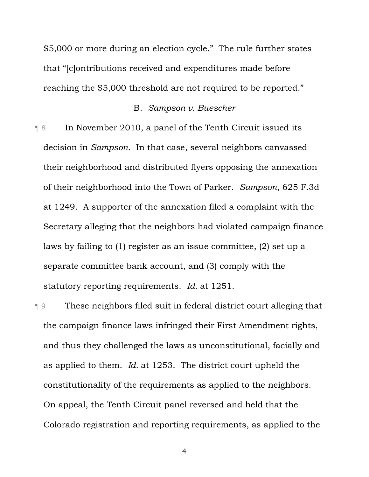\$5,000 or more during an election cycle." The rule further states that "[c]ontributions received and expenditures made before reaching the \$5,000 threshold are not required to be reported."

### B. *Sampson v. Buescher*

¶ 8 In November 2010, a panel of the Tenth Circuit issued its decision in *Sampson*. In that case, several neighbors canvassed their neighborhood and distributed flyers opposing the annexation of their neighborhood into the Town of Parker. *Sampson*, 625 F.3d at 1249. A supporter of the annexation filed a complaint with the Secretary alleging that the neighbors had violated campaign finance laws by failing to (1) register as an issue committee, (2) set up a separate committee bank account, and (3) comply with the statutory reporting requirements. *Id.* at 1251.

¶ 9 These neighbors filed suit in federal district court alleging that the campaign finance laws infringed their First Amendment rights, and thus they challenged the laws as unconstitutional, facially and as applied to them. *Id.* at 1253. The district court upheld the constitutionality of the requirements as applied to the neighbors. On appeal, the Tenth Circuit panel reversed and held that the Colorado registration and reporting requirements, as applied to the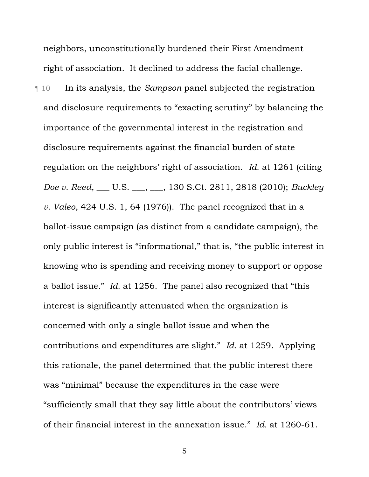neighbors, unconstitutionally burdened their First Amendment right of association. It declined to address the facial challenge.

¶ 10 In its analysis, the *Sampson* panel subjected the registration and disclosure requirements to "exacting scrutiny" by balancing the importance of the governmental interest in the registration and disclosure requirements against the financial burden of state regulation on the neighbors' right of association. *Id.* at 1261 (citing *Doe v. Reed*, \_\_\_ U.S. \_\_\_, \_\_\_, 130 S.Ct. 2811, 2818 (2010); *Buckley v. Valeo*, 424 U.S. 1, 64 (1976)). The panel recognized that in a ballot-issue campaign (as distinct from a candidate campaign), the only public interest is "informational," that is, "the public interest in knowing who is spending and receiving money to support or oppose a ballot issue." *Id.* at 1256. The panel also recognized that "this interest is significantly attenuated when the organization is concerned with only a single ballot issue and when the contributions and expenditures are slight." *Id.* at 1259. Applying this rationale, the panel determined that the public interest there was "minimal" because the expenditures in the case were "sufficiently small that they say little about the contributors' views of their financial interest in the annexation issue." *Id.* at 1260-61.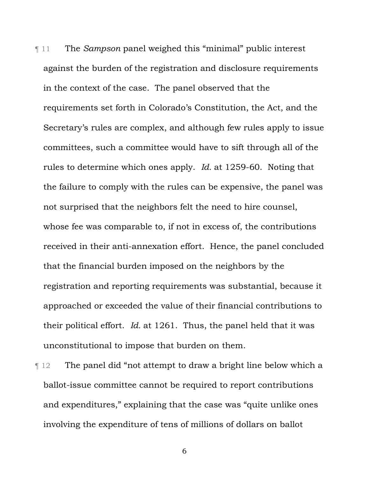¶ 11 The *Sampson* panel weighed this "minimal" public interest against the burden of the registration and disclosure requirements in the context of the case. The panel observed that the requirements set forth in Colorado's Constitution, the Act, and the Secretary's rules are complex, and although few rules apply to issue committees, such a committee would have to sift through all of the rules to determine which ones apply. *Id.* at 1259-60. Noting that the failure to comply with the rules can be expensive, the panel was not surprised that the neighbors felt the need to hire counsel, whose fee was comparable to, if not in excess of, the contributions received in their anti-annexation effort. Hence, the panel concluded that the financial burden imposed on the neighbors by the registration and reporting requirements was substantial, because it approached or exceeded the value of their financial contributions to their political effort. *Id.* at 1261. Thus, the panel held that it was unconstitutional to impose that burden on them.

¶ 12 The panel did "not attempt to draw a bright line below which a ballot-issue committee cannot be required to report contributions and expenditures," explaining that the case was "quite unlike ones involving the expenditure of tens of millions of dollars on ballot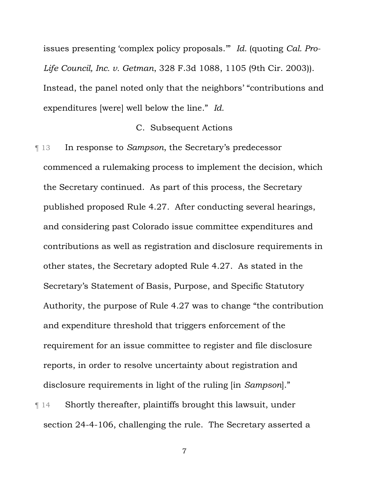issues presenting 'complex policy proposals.'" *Id.* (quoting *Cal. Pro-Life Council, Inc. v. Getman*, 328 F.3d 1088, 1105 (9th Cir. 2003)). Instead, the panel noted only that the neighbors' "contributions and expenditures [were] well below the line." *Id.*

### C. Subsequent Actions

¶ 13 In response to *Sampson*, the Secretary's predecessor commenced a rulemaking process to implement the decision, which the Secretary continued. As part of this process, the Secretary published proposed Rule 4.27. After conducting several hearings, and considering past Colorado issue committee expenditures and contributions as well as registration and disclosure requirements in other states, the Secretary adopted Rule 4.27. As stated in the Secretary's Statement of Basis, Purpose, and Specific Statutory Authority, the purpose of Rule 4.27 was to change "the contribution and expenditure threshold that triggers enforcement of the requirement for an issue committee to register and file disclosure reports, in order to resolve uncertainty about registration and disclosure requirements in light of the ruling [in *Sampson*]." ¶ 14 Shortly thereafter, plaintiffs brought this lawsuit, under

section 24-4-106, challenging the rule. The Secretary asserted a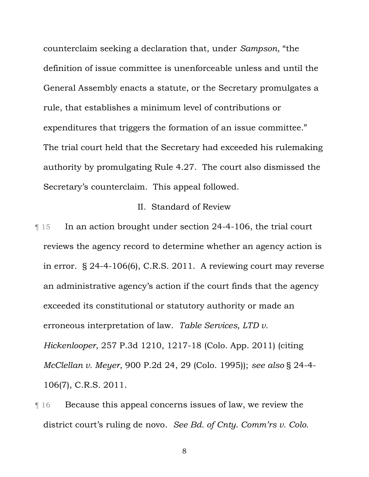counterclaim seeking a declaration that, under *Sampson*, "the definition of issue committee is unenforceable unless and until the General Assembly enacts a statute, or the Secretary promulgates a rule, that establishes a minimum level of contributions or expenditures that triggers the formation of an issue committee." The trial court held that the Secretary had exceeded his rulemaking authority by promulgating Rule 4.27. The court also dismissed the Secretary's counterclaim. This appeal followed.

# II. Standard of Review

**The Industry 15** In an action brought under section 24-4-106, the trial court reviews the agency record to determine whether an agency action is in error.  $\S$  24-4-106(6), C.R.S. 2011. A reviewing court may reverse an administrative agency's action if the court finds that the agency exceeded its constitutional or statutory authority or made an erroneous interpretation of law. *Table Services, LTD v. Hickenlooper*, 257 P.3d 1210, 1217-18 (Colo. App. 2011) (citing *McClellan v. Meyer*, 900 P.2d 24, 29 (Colo. 1995)); *see also* § 24-4-106(7), C.R.S. 2011.

¶ 16 Because this appeal concerns issues of law, we review the district court's ruling de novo. *See Bd. of Cnty. Comm'rs v. Colo.*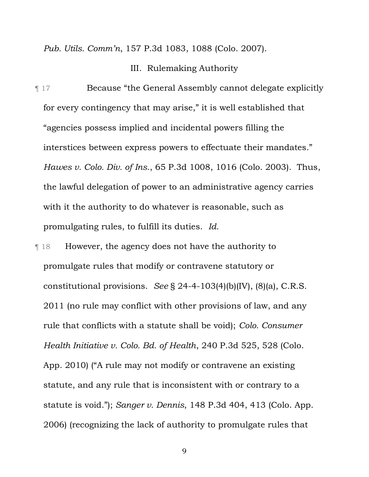*Pub. Utils. Comm'n*, 157 P.3d 1083, 1088 (Colo. 2007).

### III. Rulemaking Authority

¶ 17 Because "the General Assembly cannot delegate explicitly for every contingency that may arise," it is well established that "agencies possess implied and incidental powers filling the interstices between express powers to effectuate their mandates." *Hawes v. Colo. Div. of Ins.*, 65 P.3d 1008, 1016 (Colo. 2003). Thus, the lawful delegation of power to an administrative agency carries with it the authority to do whatever is reasonable, such as promulgating rules, to fulfill its duties. *Id.* 

¶ 18 However, the agency does not have the authority to promulgate rules that modify or contravene statutory or constitutional provisions. *See* § 24-4-103(4)(b)(IV), (8)(a), C.R.S. 2011 (no rule may conflict with other provisions of law, and any rule that conflicts with a statute shall be void); *Colo. Consumer Health Initiative v. Colo. Bd. of Health*, 240 P.3d 525, 528 (Colo. App. 2010) ("A rule may not modify or contravene an existing statute, and any rule that is inconsistent with or contrary to a statute is void."); *Sanger v. Dennis*, 148 P.3d 404, 413 (Colo. App. 2006) (recognizing the lack of authority to promulgate rules that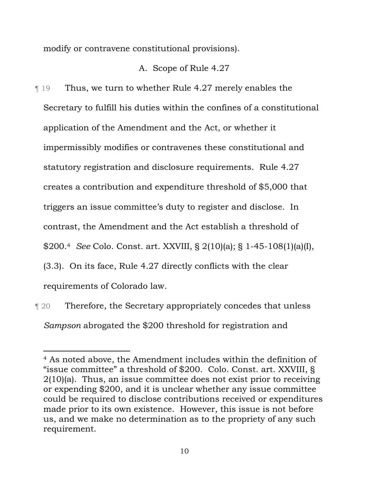modify or contravene constitutional provisions).

## A. Scope of Rule 4.27

¶ 19 Thus, we turn to whether Rule 4.27 merely enables the Secretary to fulfill his duties within the confines of a constitutional application of the Amendment and the Act, or whether it impermissibly modifies or contravenes these constitutional and statutory registration and disclosure requirements. Rule 4.27 creates a contribution and expenditure threshold of \$5,000 that triggers an issue committee's duty to register and disclose. In contrast, the Amendment and the Act establish a threshold of \$200.<sup>4</sup> *See* Colo. Const. art. XXVIII, § 2(10)(a); § 1-45-108(1)(a)(I), (3.3). On its face, Rule 4.27 directly conflicts with the clear requirements of Colorado law.

¶ 20 Therefore, the Secretary appropriately concedes that unless *Sampson* abrogated the \$200 threshold for registration and

 $\overline{a}$ 

<sup>4</sup> As noted above, the Amendment includes within the definition of "issue committee" a threshold of \$200. Colo. Const. art. XXVIII, § 2(10)(a). Thus, an issue committee does not exist prior to receiving or expending \$200, and it is unclear whether any issue committee could be required to disclose contributions received or expenditures made prior to its own existence. However, this issue is not before us, and we make no determination as to the propriety of any such requirement.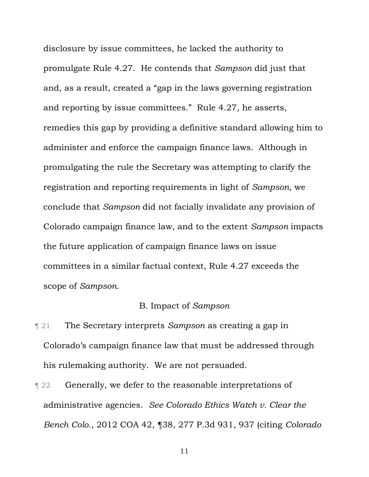disclosure by issue committees, he lacked the authority to promulgate Rule 4.27. He contends that *Sampson* did just that and, as a result, created a "gap in the laws governing registration and reporting by issue committees." Rule 4.27, he asserts, remedies this gap by providing a definitive standard allowing him to administer and enforce the campaign finance laws. Although in promulgating the rule the Secretary was attempting to clarify the registration and reporting requirements in light of *Sampson,* we conclude that *Sampson* did not facially invalidate any provision of Colorado campaign finance law, and to the extent *Sampson* impacts the future application of campaign finance laws on issue committees in a similar factual context, Rule 4.27 exceeds the scope of *Sampson.*

## B. Impact of *Sampson*

- ¶ 21 The Secretary interprets *Sampson* as creating a gap in Colorado's campaign finance law that must be addressed through his rulemaking authority. We are not persuaded.
- **Texable 122 Generally, we defer to the reasonable interpretations of** administrative agencies. *See Colorado Ethics Watch v. Clear the Bench Colo.*, 2012 COA 42, ¶38, 277 P.3d 931, 937 (citing *Colorado*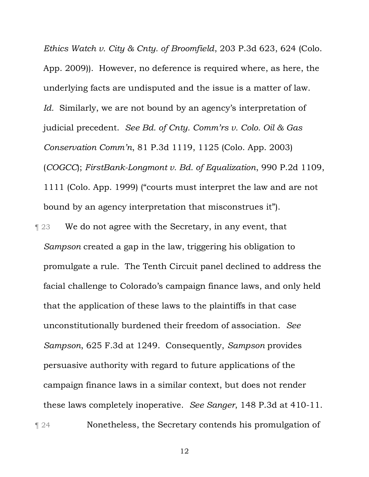*Ethics Watch v. City & Cnty. of Broomfield*, 203 P.3d 623, 624 (Colo. App. 2009)). However, no deference is required where, as here, the underlying facts are undisputed and the issue is a matter of law. *Id.* Similarly, we are not bound by an agency's interpretation of judicial precedent. *See Bd. of Cnty. Comm'rs v. Colo. Oil & Gas Conservation Comm'n*, 81 P.3d 1119, 1125 (Colo. App. 2003) (*COGCC*); *FirstBankLongmont v. Bd. of Equalization*, 990 P.2d 1109, 1111 (Colo. App. 1999) ("courts must interpret the law and are not bound by an agency interpretation that misconstrues it").

**Term 23** We do not agree with the Secretary, in any event, that *Sampson* created a gap in the law, triggering his obligation to promulgate a rule. The Tenth Circuit panel declined to address the facial challenge to Colorado's campaign finance laws, and only held that the application of these laws to the plaintiffs in that case unconstitutionally burdened their freedom of association. *See Sampson*, 625 F.3d at 1249. Consequently, *Sampson* provides persuasive authority with regard to future applications of the campaign finance laws in a similar context, but does not render these laws completely inoperative. *See Sanger*, 148 P.3d at 410-11. ¶ 24 Nonetheless, the Secretary contends his promulgation of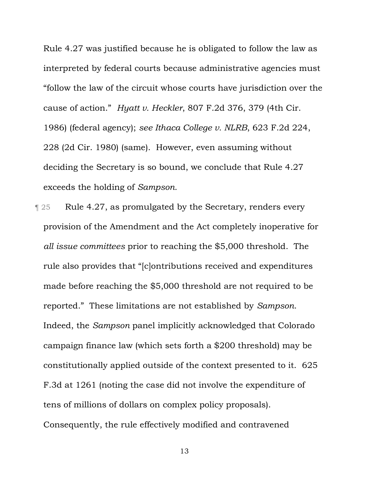Rule 4.27 was justified because he is obligated to follow the law as interpreted by federal courts because administrative agencies must "follow the law of the circuit whose courts have jurisdiction over the cause of action." *Hyatt v. Heckler*, 807 F.2d 376, 379 (4th Cir. 1986) (federal agency); *see Ithaca College v. NLRB*, 623 F.2d 224, 228 (2d Cir. 1980) (same). However, even assuming without deciding the Secretary is so bound, we conclude that Rule 4.27 exceeds the holding of *Sampson.* 

**Term 25** Rule 4.27, as promulgated by the Secretary, renders every provision of the Amendment and the Act completely inoperative for *all issue committees* prior to reaching the \$5,000 threshold. The rule also provides that "[c]ontributions received and expenditures made before reaching the \$5,000 threshold are not required to be reported." These limitations are not established by *Sampson*. Indeed, the *Sampson* panel implicitly acknowledged that Colorado campaign finance law (which sets forth a \$200 threshold) may be constitutionally applied outside of the context presented to it. 625 F.3d at 1261 (noting the case did not involve the expenditure of tens of millions of dollars on complex policy proposals). Consequently, the rule effectively modified and contravened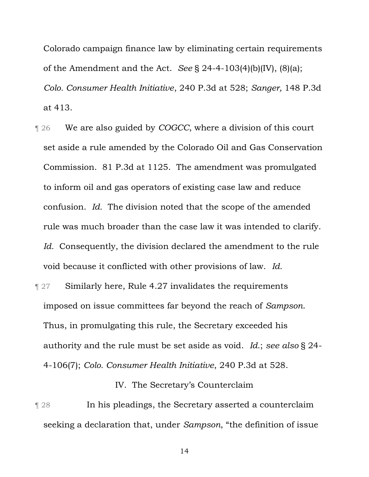Colorado campaign finance law by eliminating certain requirements of the Amendment and the Act. *See* § 24-4-103(4)(b)(IV), (8)(a); *Colo. Consumer Health Initiative*, 240 P.3d at 528; *Sanger,* 148 P.3d at 413.

- ¶ 26 We are also guided by *COGCC*, where a division of this court set aside a rule amended by the Colorado Oil and Gas Conservation Commission. 81 P.3d at 1125. The amendment was promulgated to inform oil and gas operators of existing case law and reduce confusion. *Id.* The division noted that the scope of the amended rule was much broader than the case law it was intended to clarify. *Id.* Consequently, the division declared the amendment to the rule void because it conflicted with other provisions of law. *Id.*
- ¶ 27 Similarly here, Rule 4.27 invalidates the requirements imposed on issue committees far beyond the reach of *Sampson*. Thus, in promulgating this rule, the Secretary exceeded his authority and the rule must be set aside as void. *Id.*; *see also* § 24 4106(7); *Colo. Consumer Health Initiative*, 240 P.3d at 528.

# IV. The Secretary's Counterclaim

**Term 128** In his pleadings, the Secretary asserted a counterclaim seeking a declaration that, under *Sampson*, "the definition of issue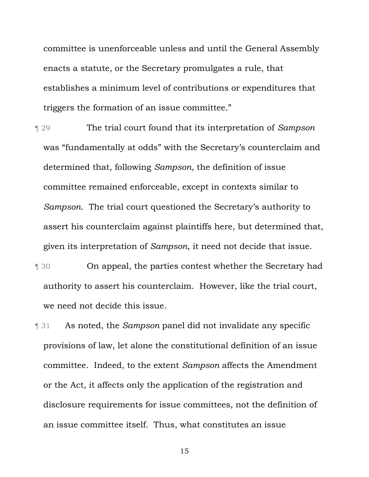committee is unenforceable unless and until the General Assembly enacts a statute, or the Secretary promulgates a rule, that establishes a minimum level of contributions or expenditures that triggers the formation of an issue committee."

¶ 29 The trial court found that its interpretation of *Sampson*  was "fundamentally at odds" with the Secretary's counterclaim and determined that, following *Sampson*, the definition of issue committee remained enforceable, except in contexts similar to *Sampson*. The trial court questioned the Secretary's authority to assert his counterclaim against plaintiffs here, but determined that, given its interpretation of *Sampson*, it need not decide that issue.

- **Term 30** On appeal, the parties contest whether the Secretary had authority to assert his counterclaim. However, like the trial court, we need not decide this issue.
- ¶ 31 As noted, the *Sampson* panel did not invalidate any specific provisions of law, let alone the constitutional definition of an issue committee. Indeed, to the extent *Sampson* affects the Amendment or the Act, it affects only the application of the registration and disclosure requirements for issue committees, not the definition of an issue committee itself. Thus, what constitutes an issue